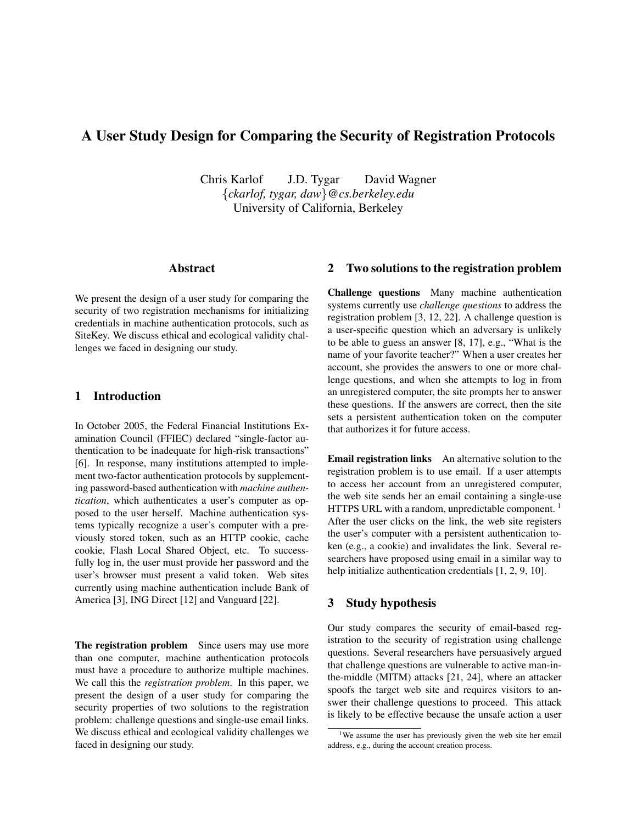# A User Study Design for Comparing the Security of Registration Protocols

Chris Karlof J.D. Tygar David Wagner {*ckarlof, tygar, daw*}*@cs.berkeley.edu* University of California, Berkeley

## Abstract

We present the design of a user study for comparing the security of two registration mechanisms for initializing credentials in machine authentication protocols, such as SiteKey. We discuss ethical and ecological validity challenges we faced in designing our study.

## 1 Introduction

In October 2005, the Federal Financial Institutions Examination Council (FFIEC) declared "single-factor authentication to be inadequate for high-risk transactions" [6]. In response, many institutions attempted to implement two-factor authentication protocols by supplementing password-based authentication with *machine authentication*, which authenticates a user's computer as opposed to the user herself. Machine authentication systems typically recognize a user's computer with a previously stored token, such as an HTTP cookie, cache cookie, Flash Local Shared Object, etc. To successfully log in, the user must provide her password and the user's browser must present a valid token. Web sites currently using machine authentication include Bank of America [3], ING Direct [12] and Vanguard [22].

The registration problem Since users may use more than one computer, machine authentication protocols must have a procedure to authorize multiple machines. We call this the *registration problem*. In this paper, we present the design of a user study for comparing the security properties of two solutions to the registration problem: challenge questions and single-use email links. We discuss ethical and ecological validity challenges we faced in designing our study.

### 2 Two solutions to the registration problem

Challenge questions Many machine authentication systems currently use *challenge questions* to address the registration problem [3, 12, 22]. A challenge question is a user-specific question which an adversary is unlikely to be able to guess an answer [8, 17], e.g., "What is the name of your favorite teacher?" When a user creates her account, she provides the answers to one or more challenge questions, and when she attempts to log in from an unregistered computer, the site prompts her to answer these questions. If the answers are correct, then the site sets a persistent authentication token on the computer that authorizes it for future access.

Email registration links An alternative solution to the registration problem is to use email. If a user attempts to access her account from an unregistered computer, the web site sends her an email containing a single-use HTTPS URL with a random, unpredictable component.<sup>1</sup> After the user clicks on the link, the web site registers the user's computer with a persistent authentication token (e.g., a cookie) and invalidates the link. Several researchers have proposed using email in a similar way to help initialize authentication credentials [1, 2, 9, 10].

### 3 Study hypothesis

Our study compares the security of email-based registration to the security of registration using challenge questions. Several researchers have persuasively argued that challenge questions are vulnerable to active man-inthe-middle (MITM) attacks [21, 24], where an attacker spoofs the target web site and requires visitors to answer their challenge questions to proceed. This attack is likely to be effective because the unsafe action a user

<sup>&</sup>lt;sup>1</sup>We assume the user has previously given the web site her email address, e.g., during the account creation process.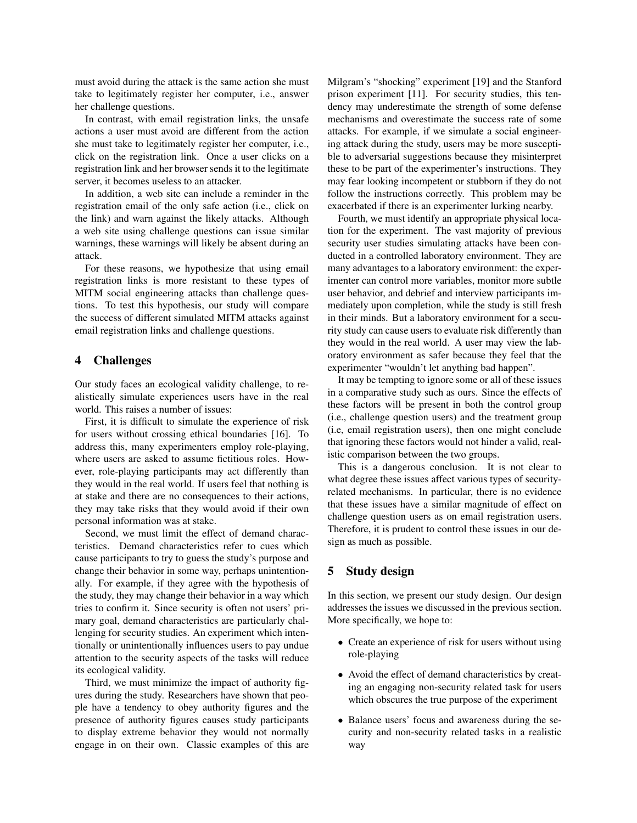must avoid during the attack is the same action she must take to legitimately register her computer, i.e., answer her challenge questions.

In contrast, with email registration links, the unsafe actions a user must avoid are different from the action she must take to legitimately register her computer, i.e., click on the registration link. Once a user clicks on a registration link and her browser sends it to the legitimate server, it becomes useless to an attacker.

In addition, a web site can include a reminder in the registration email of the only safe action (i.e., click on the link) and warn against the likely attacks. Although a web site using challenge questions can issue similar warnings, these warnings will likely be absent during an attack.

For these reasons, we hypothesize that using email registration links is more resistant to these types of MITM social engineering attacks than challenge questions. To test this hypothesis, our study will compare the success of different simulated MITM attacks against email registration links and challenge questions.

### 4 Challenges

Our study faces an ecological validity challenge, to realistically simulate experiences users have in the real world. This raises a number of issues:

First, it is difficult to simulate the experience of risk for users without crossing ethical boundaries [16]. To address this, many experimenters employ role-playing, where users are asked to assume fictitious roles. However, role-playing participants may act differently than they would in the real world. If users feel that nothing is at stake and there are no consequences to their actions, they may take risks that they would avoid if their own personal information was at stake.

Second, we must limit the effect of demand characteristics. Demand characteristics refer to cues which cause participants to try to guess the study's purpose and change their behavior in some way, perhaps unintentionally. For example, if they agree with the hypothesis of the study, they may change their behavior in a way which tries to confirm it. Since security is often not users' primary goal, demand characteristics are particularly challenging for security studies. An experiment which intentionally or unintentionally influences users to pay undue attention to the security aspects of the tasks will reduce its ecological validity.

Third, we must minimize the impact of authority figures during the study. Researchers have shown that people have a tendency to obey authority figures and the presence of authority figures causes study participants to display extreme behavior they would not normally engage in on their own. Classic examples of this are Milgram's "shocking" experiment [19] and the Stanford prison experiment [11]. For security studies, this tendency may underestimate the strength of some defense mechanisms and overestimate the success rate of some attacks. For example, if we simulate a social engineering attack during the study, users may be more susceptible to adversarial suggestions because they misinterpret these to be part of the experimenter's instructions. They may fear looking incompetent or stubborn if they do not follow the instructions correctly. This problem may be exacerbated if there is an experimenter lurking nearby.

Fourth, we must identify an appropriate physical location for the experiment. The vast majority of previous security user studies simulating attacks have been conducted in a controlled laboratory environment. They are many advantages to a laboratory environment: the experimenter can control more variables, monitor more subtle user behavior, and debrief and interview participants immediately upon completion, while the study is still fresh in their minds. But a laboratory environment for a security study can cause users to evaluate risk differently than they would in the real world. A user may view the laboratory environment as safer because they feel that the experimenter "wouldn't let anything bad happen".

It may be tempting to ignore some or all of these issues in a comparative study such as ours. Since the effects of these factors will be present in both the control group (i.e., challenge question users) and the treatment group (i.e, email registration users), then one might conclude that ignoring these factors would not hinder a valid, realistic comparison between the two groups.

This is a dangerous conclusion. It is not clear to what degree these issues affect various types of securityrelated mechanisms. In particular, there is no evidence that these issues have a similar magnitude of effect on challenge question users as on email registration users. Therefore, it is prudent to control these issues in our design as much as possible.

## 5 Study design

In this section, we present our study design. Our design addresses the issues we discussed in the previous section. More specifically, we hope to:

- Create an experience of risk for users without using role-playing
- Avoid the effect of demand characteristics by creating an engaging non-security related task for users which obscures the true purpose of the experiment
- Balance users' focus and awareness during the security and non-security related tasks in a realistic way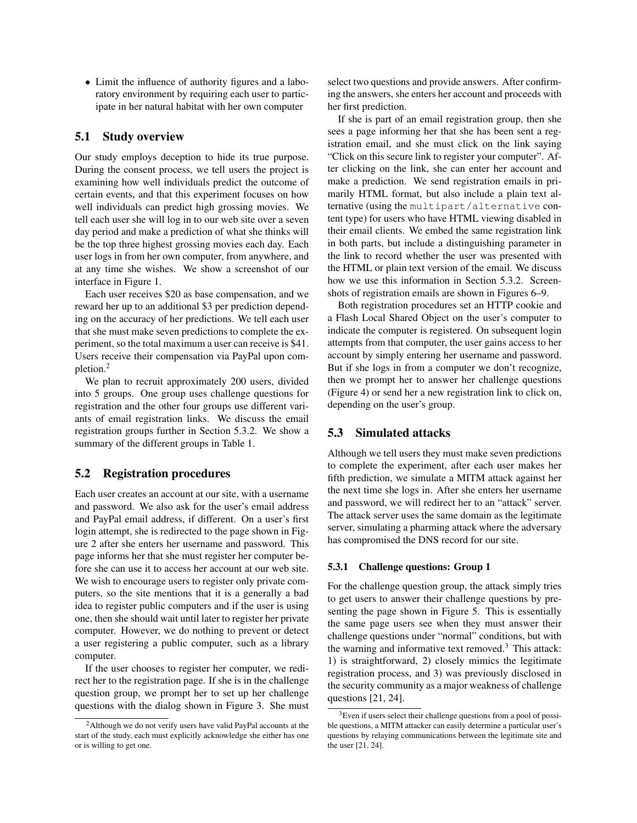• Limit the influence of authority figures and a laboratory environment by requiring each user to participate in her natural habitat with her own computer

### 5.1 Study overview

Our study employs deception to hide its true purpose. During the consent process, we tell users the project is examining how well individuals predict the outcome of certain events, and that this experiment focuses on how well individuals can predict high grossing movies. We tell each user she will log in to our web site over a seven day period and make a prediction of what she thinks will be the top three highest grossing movies each day. Each user logs in from her own computer, from anywhere, and at any time she wishes. We show a screenshot of our interface in Figure 1.

Each user receives \$20 as base compensation, and we reward her up to an additional \$3 per prediction depending on the accuracy of her predictions. We tell each user that she must make seven predictions to complete the experiment, so the total maximum a user can receive is \$41. Users receive their compensation via PayPal upon completion.<sup>2</sup>

We plan to recruit approximately 200 users, divided into 5 groups. One group uses challenge questions for registration and the other four groups use different variants of email registration links. We discuss the email registration groups further in Section 5.3.2. We show a summary of the different groups in Table 1.

### 5.2 Registration procedures

Each user creates an account at our site, with a username and password. We also ask for the user's email address and PayPal email address, if different. On a user's first login attempt, she is redirected to the page shown in Figure 2 after she enters her username and password. This page informs her that she must register her computer before she can use it to access her account at our web site. We wish to encourage users to register only private computers, so the site mentions that it is a generally a bad idea to register public computers and if the user is using one, then she should wait until later to register her private computer. However, we do nothing to prevent or detect a user registering a public computer, such as a library computer.

If the user chooses to register her computer, we redirect her to the registration page. If she is in the challenge question group, we prompt her to set up her challenge questions with the dialog shown in Figure 3. She must select two questions and provide answers. After confirming the answers, she enters her account and proceeds with her first prediction.

If she is part of an email registration group, then she sees a page informing her that she has been sent a registration email, and she must click on the link saying "Click on this secure link to register your computer". After clicking on the link, she can enter her account and make a prediction. We send registration emails in primarily HTML format, but also include a plain text alternative (using the multipart/alternative content type) for users who have HTML viewing disabled in their email clients. We embed the same registration link in both parts, but include a distinguishing parameter in the link to record whether the user was presented with the HTML or plain text version of the email. We discuss how we use this information in Section 5.3.2. Screenshots of registration emails are shown in Figures 6–9.

Both registration procedures set an HTTP cookie and a Flash Local Shared Object on the user's computer to indicate the computer is registered. On subsequent login attempts from that computer, the user gains access to her account by simply entering her username and password. But if she logs in from a computer we don't recognize, then we prompt her to answer her challenge questions (Figure 4) or send her a new registration link to click on, depending on the user's group.

### 5.3 Simulated attacks

Although we tell users they must make seven predictions to complete the experiment, after each user makes her fifth prediction, we simulate a MITM attack against her the next time she logs in. After she enters her username and password, we will redirect her to an "attack" server. The attack server uses the same domain as the legitimate server, simulating a pharming attack where the adversary has compromised the DNS record for our site.

#### 5.3.1 Challenge questions: Group 1

For the challenge question group, the attack simply tries to get users to answer their challenge questions by presenting the page shown in Figure 5. This is essentially the same page users see when they must answer their challenge questions under "normal" conditions, but with the warning and informative text removed. $3$  This attack: 1) is straightforward, 2) closely mimics the legitimate registration process, and 3) was previously disclosed in the security community as a major weakness of challenge questions [21, 24].

<sup>2</sup>Although we do not verify users have valid PayPal accounts at the start of the study, each must explicitly acknowledge she either has one or is willing to get one.

<sup>&</sup>lt;sup>3</sup>Even if users select their challenge questions from a pool of possible questions, a MITM attacker can easily determine a particular user's questions by relaying communications between the legitimate site and the user [21, 24].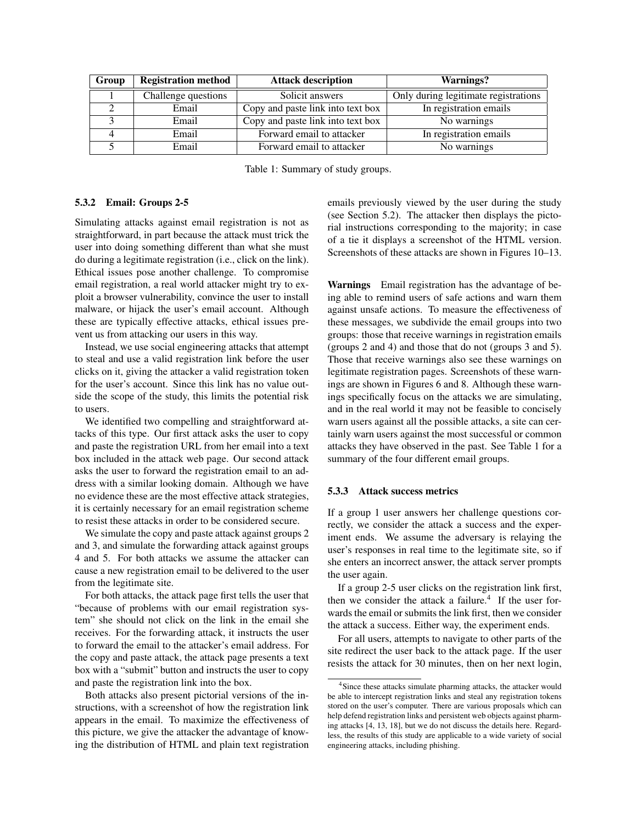| Group | <b>Registration method</b> | <b>Attack description</b>         | Warnings?                            |
|-------|----------------------------|-----------------------------------|--------------------------------------|
|       | Challenge questions        | Solicit answers                   | Only during legitimate registrations |
|       | Email                      | Copy and paste link into text box | In registration emails               |
|       | Email                      | Copy and paste link into text box | No warnings                          |
|       | Email                      | Forward email to attacker         | In registration emails               |
|       | Email                      | Forward email to attacker         | No warnings                          |

Table 1: Summary of study groups.

#### 5.3.2 Email: Groups 2-5

Simulating attacks against email registration is not as straightforward, in part because the attack must trick the user into doing something different than what she must do during a legitimate registration (i.e., click on the link). Ethical issues pose another challenge. To compromise email registration, a real world attacker might try to exploit a browser vulnerability, convince the user to install malware, or hijack the user's email account. Although these are typically effective attacks, ethical issues prevent us from attacking our users in this way.

Instead, we use social engineering attacks that attempt to steal and use a valid registration link before the user clicks on it, giving the attacker a valid registration token for the user's account. Since this link has no value outside the scope of the study, this limits the potential risk to users.

We identified two compelling and straightforward attacks of this type. Our first attack asks the user to copy and paste the registration URL from her email into a text box included in the attack web page. Our second attack asks the user to forward the registration email to an address with a similar looking domain. Although we have no evidence these are the most effective attack strategies, it is certainly necessary for an email registration scheme to resist these attacks in order to be considered secure.

We simulate the copy and paste attack against groups 2 and 3, and simulate the forwarding attack against groups 4 and 5. For both attacks we assume the attacker can cause a new registration email to be delivered to the user from the legitimate site.

For both attacks, the attack page first tells the user that "because of problems with our email registration system" she should not click on the link in the email she receives. For the forwarding attack, it instructs the user to forward the email to the attacker's email address. For the copy and paste attack, the attack page presents a text box with a "submit" button and instructs the user to copy and paste the registration link into the box.

Both attacks also present pictorial versions of the instructions, with a screenshot of how the registration link appears in the email. To maximize the effectiveness of this picture, we give the attacker the advantage of knowing the distribution of HTML and plain text registration emails previously viewed by the user during the study (see Section 5.2). The attacker then displays the pictorial instructions corresponding to the majority; in case of a tie it displays a screenshot of the HTML version. Screenshots of these attacks are shown in Figures 10–13.

Warnings Email registration has the advantage of being able to remind users of safe actions and warn them against unsafe actions. To measure the effectiveness of these messages, we subdivide the email groups into two groups: those that receive warnings in registration emails (groups 2 and 4) and those that do not (groups 3 and 5). Those that receive warnings also see these warnings on legitimate registration pages. Screenshots of these warnings are shown in Figures 6 and 8. Although these warnings specifically focus on the attacks we are simulating, and in the real world it may not be feasible to concisely warn users against all the possible attacks, a site can certainly warn users against the most successful or common attacks they have observed in the past. See Table 1 for a summary of the four different email groups.

#### 5.3.3 Attack success metrics

If a group 1 user answers her challenge questions correctly, we consider the attack a success and the experiment ends. We assume the adversary is relaying the user's responses in real time to the legitimate site, so if she enters an incorrect answer, the attack server prompts the user again.

If a group 2-5 user clicks on the registration link first, then we consider the attack a failure. $4$  If the user forwards the email or submits the link first, then we consider the attack a success. Either way, the experiment ends.

For all users, attempts to navigate to other parts of the site redirect the user back to the attack page. If the user resists the attack for 30 minutes, then on her next login,

<sup>&</sup>lt;sup>4</sup>Since these attacks simulate pharming attacks, the attacker would be able to intercept registration links and steal any registration tokens stored on the user's computer. There are various proposals which can help defend registration links and persistent web objects against pharming attacks [4, 13, 18], but we do not discuss the details here. Regardless, the results of this study are applicable to a wide variety of social engineering attacks, including phishing.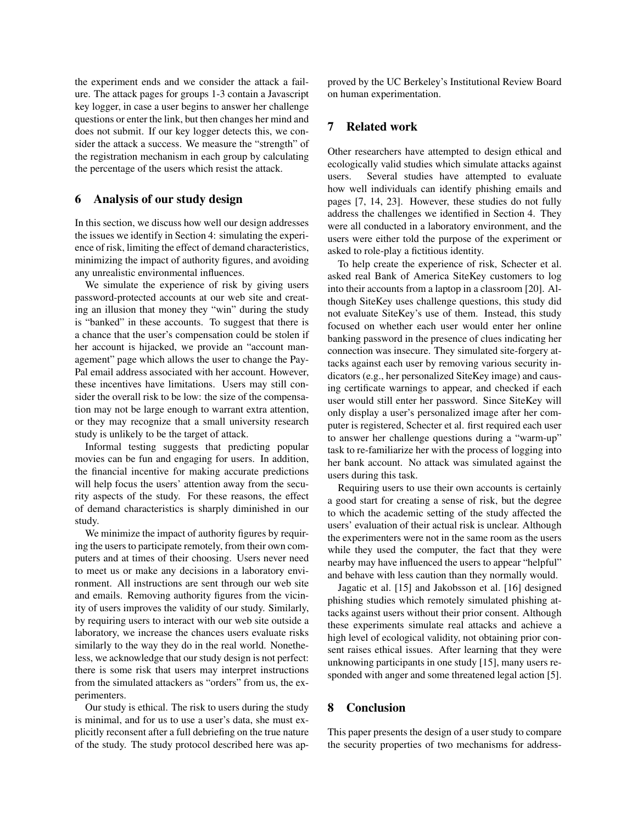the experiment ends and we consider the attack a failure. The attack pages for groups 1-3 contain a Javascript key logger, in case a user begins to answer her challenge questions or enter the link, but then changes her mind and does not submit. If our key logger detects this, we consider the attack a success. We measure the "strength" of the registration mechanism in each group by calculating the percentage of the users which resist the attack.

### 6 Analysis of our study design

In this section, we discuss how well our design addresses the issues we identify in Section 4: simulating the experience of risk, limiting the effect of demand characteristics, minimizing the impact of authority figures, and avoiding any unrealistic environmental influences.

We simulate the experience of risk by giving users password-protected accounts at our web site and creating an illusion that money they "win" during the study is "banked" in these accounts. To suggest that there is a chance that the user's compensation could be stolen if her account is hijacked, we provide an "account management" page which allows the user to change the Pay-Pal email address associated with her account. However, these incentives have limitations. Users may still consider the overall risk to be low: the size of the compensation may not be large enough to warrant extra attention, or they may recognize that a small university research study is unlikely to be the target of attack.

Informal testing suggests that predicting popular movies can be fun and engaging for users. In addition, the financial incentive for making accurate predictions will help focus the users' attention away from the security aspects of the study. For these reasons, the effect of demand characteristics is sharply diminished in our study.

We minimize the impact of authority figures by requiring the users to participate remotely, from their own computers and at times of their choosing. Users never need to meet us or make any decisions in a laboratory environment. All instructions are sent through our web site and emails. Removing authority figures from the vicinity of users improves the validity of our study. Similarly, by requiring users to interact with our web site outside a laboratory, we increase the chances users evaluate risks similarly to the way they do in the real world. Nonetheless, we acknowledge that our study design is not perfect: there is some risk that users may interpret instructions from the simulated attackers as "orders" from us, the experimenters.

Our study is ethical. The risk to users during the study is minimal, and for us to use a user's data, she must explicitly reconsent after a full debriefing on the true nature of the study. The study protocol described here was approved by the UC Berkeley's Institutional Review Board on human experimentation.

## 7 Related work

Other researchers have attempted to design ethical and ecologically valid studies which simulate attacks against users. Several studies have attempted to evaluate how well individuals can identify phishing emails and pages [7, 14, 23]. However, these studies do not fully address the challenges we identified in Section 4. They were all conducted in a laboratory environment, and the users were either told the purpose of the experiment or asked to role-play a fictitious identity.

To help create the experience of risk, Schecter et al. asked real Bank of America SiteKey customers to log into their accounts from a laptop in a classroom [20]. Although SiteKey uses challenge questions, this study did not evaluate SiteKey's use of them. Instead, this study focused on whether each user would enter her online banking password in the presence of clues indicating her connection was insecure. They simulated site-forgery attacks against each user by removing various security indicators (e.g., her personalized SiteKey image) and causing certificate warnings to appear, and checked if each user would still enter her password. Since SiteKey will only display a user's personalized image after her computer is registered, Schecter et al. first required each user to answer her challenge questions during a "warm-up" task to re-familiarize her with the process of logging into her bank account. No attack was simulated against the users during this task.

Requiring users to use their own accounts is certainly a good start for creating a sense of risk, but the degree to which the academic setting of the study affected the users' evaluation of their actual risk is unclear. Although the experimenters were not in the same room as the users while they used the computer, the fact that they were nearby may have influenced the users to appear "helpful" and behave with less caution than they normally would.

Jagatic et al. [15] and Jakobsson et al. [16] designed phishing studies which remotely simulated phishing attacks against users without their prior consent. Although these experiments simulate real attacks and achieve a high level of ecological validity, not obtaining prior consent raises ethical issues. After learning that they were unknowing participants in one study [15], many users responded with anger and some threatened legal action [5].

### 8 Conclusion

This paper presents the design of a user study to compare the security properties of two mechanisms for address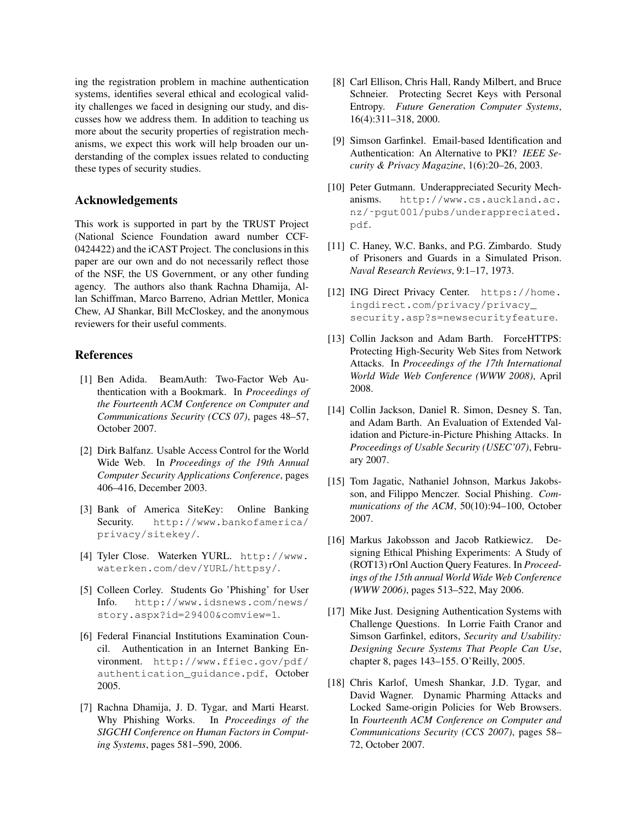ing the registration problem in machine authentication systems, identifies several ethical and ecological validity challenges we faced in designing our study, and discusses how we address them. In addition to teaching us more about the security properties of registration mechanisms, we expect this work will help broaden our understanding of the complex issues related to conducting these types of security studies.

### Acknowledgements

This work is supported in part by the TRUST Project (National Science Foundation award number CCF-0424422) and the iCAST Project. The conclusions in this paper are our own and do not necessarily reflect those of the NSF, the US Government, or any other funding agency. The authors also thank Rachna Dhamija, Allan Schiffman, Marco Barreno, Adrian Mettler, Monica Chew, AJ Shankar, Bill McCloskey, and the anonymous reviewers for their useful comments.

### References

- [1] Ben Adida. BeamAuth: Two-Factor Web Authentication with a Bookmark. In *Proceedings of the Fourteenth ACM Conference on Computer and Communications Security (CCS 07)*, pages 48–57, October 2007.
- [2] Dirk Balfanz. Usable Access Control for the World Wide Web. In *Proceedings of the 19th Annual Computer Security Applications Conference*, pages 406–416, December 2003.
- [3] Bank of America SiteKey: Online Banking Security. http://www.bankofamerica/ privacy/sitekey/.
- [4] Tyler Close. Waterken YURL. http://www. waterken.com/dev/YURL/httpsy/.
- [5] Colleen Corley. Students Go 'Phishing' for User Info. http://www.idsnews.com/news/ story.aspx?id=29400&comview=1.
- [6] Federal Financial Institutions Examination Council. Authentication in an Internet Banking Environment. http://www.ffiec.gov/pdf/ authentication\_guidance.pdf, October 2005.
- [7] Rachna Dhamija, J. D. Tygar, and Marti Hearst. Why Phishing Works. In *Proceedings of the SIGCHI Conference on Human Factors in Computing Systems*, pages 581–590, 2006.
- [8] Carl Ellison, Chris Hall, Randy Milbert, and Bruce Schneier. Protecting Secret Keys with Personal Entropy. *Future Generation Computer Systems*, 16(4):311–318, 2000.
- [9] Simson Garfinkel. Email-based Identification and Authentication: An Alternative to PKI? *IEEE Security & Privacy Magazine*, 1(6):20–26, 2003.
- [10] Peter Gutmann. Underappreciated Security Mechanisms. http://www.cs.auckland.ac. nz/˜pgut001/pubs/underappreciated. pdf.
- [11] C. Haney, W.C. Banks, and P.G. Zimbardo. Study of Prisoners and Guards in a Simulated Prison. *Naval Research Reviews*, 9:1–17, 1973.
- [12] ING Direct Privacy Center. https://home. ingdirect.com/privacy/privacy\_ security.asp?s=newsecurityfeature.
- [13] Collin Jackson and Adam Barth. ForceHTTPS: Protecting High-Security Web Sites from Network Attacks. In *Proceedings of the 17th International World Wide Web Conference (WWW 2008)*, April 2008.
- [14] Collin Jackson, Daniel R. Simon, Desney S. Tan, and Adam Barth. An Evaluation of Extended Validation and Picture-in-Picture Phishing Attacks. In *Proceedings of Usable Security (USEC'07)*, February 2007.
- [15] Tom Jagatic, Nathaniel Johnson, Markus Jakobsson, and Filippo Menczer. Social Phishing. *Communications of the ACM*, 50(10):94–100, October 2007.
- [16] Markus Jakobsson and Jacob Ratkiewicz. Designing Ethical Phishing Experiments: A Study of (ROT13) rOnl Auction Query Features. In *Proceedings of the 15th annual World Wide Web Conference (WWW 2006)*, pages 513–522, May 2006.
- [17] Mike Just. Designing Authentication Systems with Challenge Questions. In Lorrie Faith Cranor and Simson Garfinkel, editors, *Security and Usability: Designing Secure Systems That People Can Use*, chapter 8, pages 143–155. O'Reilly, 2005.
- [18] Chris Karlof, Umesh Shankar, J.D. Tygar, and David Wagner. Dynamic Pharming Attacks and Locked Same-origin Policies for Web Browsers. In *Fourteenth ACM Conference on Computer and Communications Security (CCS 2007)*, pages 58– 72, October 2007.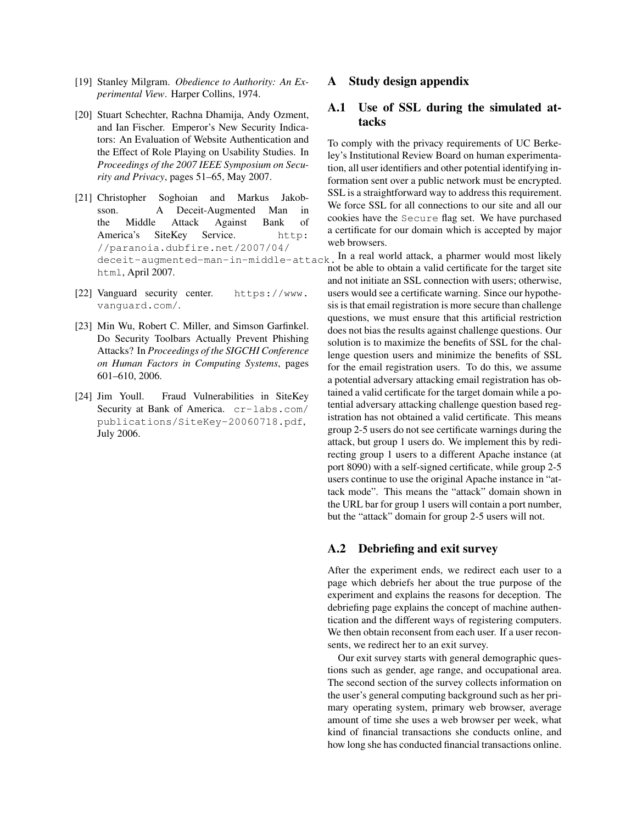- [19] Stanley Milgram. *Obedience to Authority: An Experimental View*. Harper Collins, 1974.
- [20] Stuart Schechter, Rachna Dhamija, Andy Ozment, and Ian Fischer. Emperor's New Security Indicators: An Evaluation of Website Authentication and the Effect of Role Playing on Usability Studies. In *Proceedings of the 2007 IEEE Symposium on Security and Privacy*, pages 51–65, May 2007.
- [21] Christopher Soghoian and Markus Jakobsson. A Deceit-Augmented Man in the Middle Attack Against Bank of America's SiteKey Service. http: //paranoia.dubfire.net/2007/04/ html, April 2007.
- [22] Vanguard security center. https://www. vanguard.com/.
- [23] Min Wu, Robert C. Miller, and Simson Garfinkel. Do Security Toolbars Actually Prevent Phishing Attacks? In *Proceedings of the SIGCHI Conference on Human Factors in Computing Systems*, pages 601–610, 2006.
- [24] Jim Youll. Fraud Vulnerabilities in SiteKey Security at Bank of America. cr-labs.com/ publications/SiteKey-20060718.pdf, July 2006.

### A Study design appendix

## A.1 Use of SSL during the simulated attacks

To comply with the privacy requirements of UC Berkeley's Institutional Review Board on human experimentation, all user identifiers and other potential identifying information sent over a public network must be encrypted. SSL is a straightforward way to address this requirement. We force SSL for all connections to our site and all our cookies have the Secure flag set. We have purchased a certificate for our domain which is accepted by major web browsers.

deceit-augmented-man-in-middle-attack. In a real world attack, a pharmer would most likely not be able to obtain a valid certificate for the target site and not initiate an SSL connection with users; otherwise, users would see a certificate warning. Since our hypothesis is that email registration is more secure than challenge questions, we must ensure that this artificial restriction does not bias the results against challenge questions. Our solution is to maximize the benefits of SSL for the challenge question users and minimize the benefits of SSL for the email registration users. To do this, we assume a potential adversary attacking email registration has obtained a valid certificate for the target domain while a potential adversary attacking challenge question based registration has not obtained a valid certificate. This means group 2-5 users do not see certificate warnings during the attack, but group 1 users do. We implement this by redirecting group 1 users to a different Apache instance (at port 8090) with a self-signed certificate, while group 2-5 users continue to use the original Apache instance in "attack mode". This means the "attack" domain shown in the URL bar for group 1 users will contain a port number, but the "attack" domain for group 2-5 users will not.

### A.2 Debriefing and exit survey

After the experiment ends, we redirect each user to a page which debriefs her about the true purpose of the experiment and explains the reasons for deception. The debriefing page explains the concept of machine authentication and the different ways of registering computers. We then obtain reconsent from each user. If a user reconsents, we redirect her to an exit survey.

Our exit survey starts with general demographic questions such as gender, age range, and occupational area. The second section of the survey collects information on the user's general computing background such as her primary operating system, primary web browser, average amount of time she uses a web browser per week, what kind of financial transactions she conducts online, and how long she has conducted financial transactions online.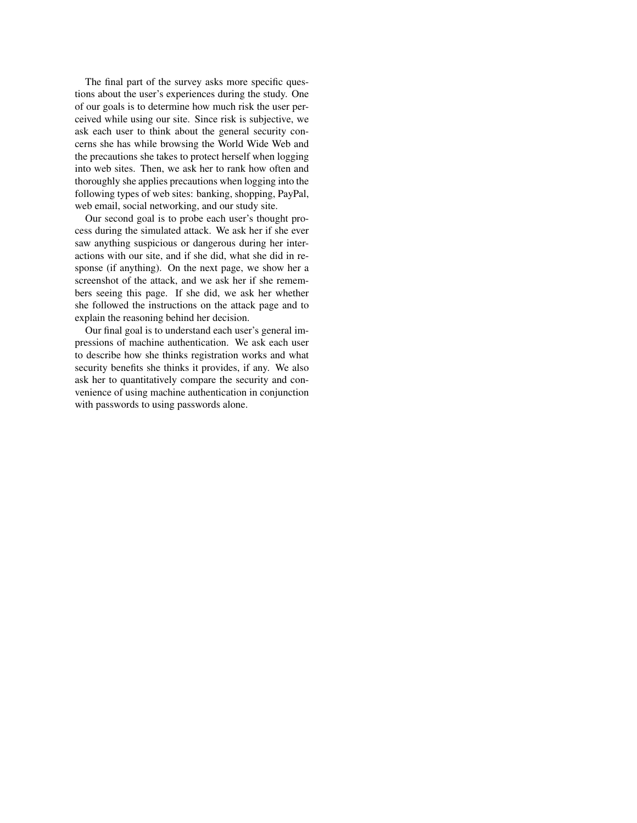The final part of the survey asks more specific questions about the user's experiences during the study. One of our goals is to determine how much risk the user perceived while using our site. Since risk is subjective, we ask each user to think about the general security concerns she has while browsing the World Wide Web and the precautions she takes to protect herself when logging into web sites. Then, we ask her to rank how often and thoroughly she applies precautions when logging into the following types of web sites: banking, shopping, PayPal, web email, social networking, and our study site.

Our second goal is to probe each user's thought process during the simulated attack. We ask her if she ever saw anything suspicious or dangerous during her interactions with our site, and if she did, what she did in response (if anything). On the next page, we show her a screenshot of the attack, and we ask her if she remembers seeing this page. If she did, we ask her whether she followed the instructions on the attack page and to explain the reasoning behind her decision.

Our final goal is to understand each user's general impressions of machine authentication. We ask each user to describe how she thinks registration works and what security benefits she thinks it provides, if any. We also ask her to quantitatively compare the security and convenience of using machine authentication in conjunction with passwords to using passwords alone.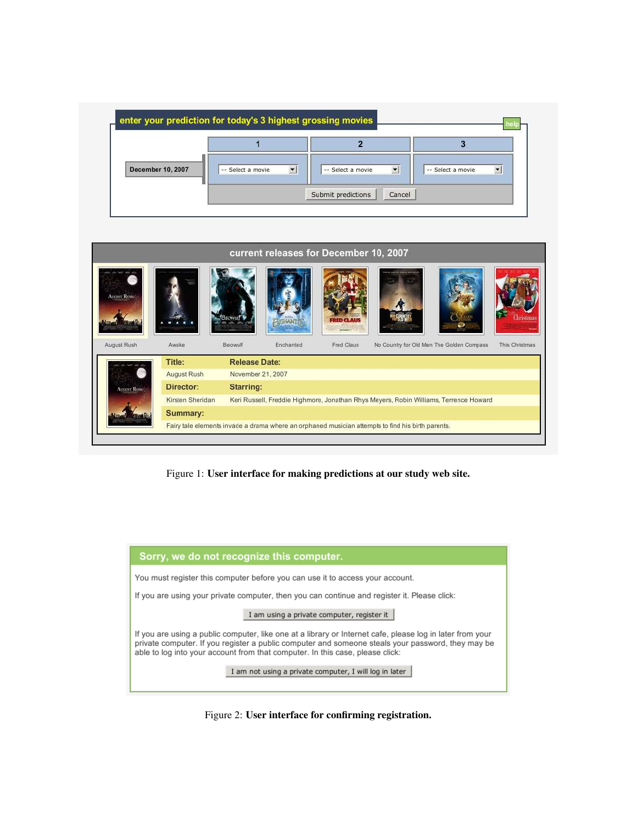| <b>December 10, 2007</b> | -- Select a movie | $\overline{z}$    | -- Select a movie |
|--------------------------|-------------------|-------------------|-------------------|
|                          | $\vert$           | -- Select a movie | ×.                |



Figure 1: User interface for making predictions at our study web site.



Figure 2: User interface for confirming registration.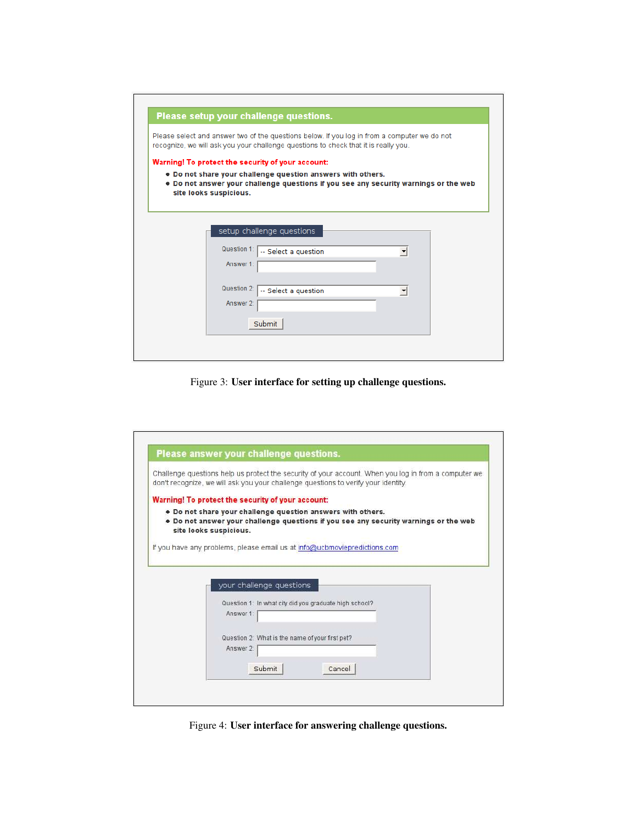|                          | Please setup your challenge questions.                                                                                                                                                                   |         |  |
|--------------------------|----------------------------------------------------------------------------------------------------------------------------------------------------------------------------------------------------------|---------|--|
|                          | Please select and answer two of the questions below. If you log in from a computer we do not<br>recognize, we will ask you your challenge questions to check that it is really you.                      |         |  |
| site looks suspicious.   | Warning! To protect the security of your account:<br>. Do not share your challenge question answers with others.<br>. Do not answer your challenge questions if you see any security warnings or the web |         |  |
| Question 1:              | setup challenge questions<br>-- Select a question                                                                                                                                                        | ▼       |  |
| Answer 1:<br>Question 2: | -- Select a question                                                                                                                                                                                     | $\vert$ |  |
| Answer 2:                |                                                                                                                                                                                                          |         |  |

Figure 3: User interface for setting up challenge questions.

| Challenge questions help us protect the security of your account. When you log in from a computer we<br>don't recognize, we will ask you your challenge questions to verify your identity. |
|--------------------------------------------------------------------------------------------------------------------------------------------------------------------------------------------|
| Warning! To protect the security of your account:                                                                                                                                          |
| . Do not share your challenge question answers with others.<br>. Do not answer your challenge questions if you see any security warnings or the web<br>site looks suspicious.              |
| If you have any problems, please email us at info@ucbmoviepredictions.com                                                                                                                  |
|                                                                                                                                                                                            |
| your challenge questions                                                                                                                                                                   |
| Question 1: In what city did you graduate high school?                                                                                                                                     |
| Answer 1:                                                                                                                                                                                  |
|                                                                                                                                                                                            |
| Question 2: What is the name of your first pet?                                                                                                                                            |
|                                                                                                                                                                                            |
| Answer 2:                                                                                                                                                                                  |

Figure 4: User interface for answering challenge questions.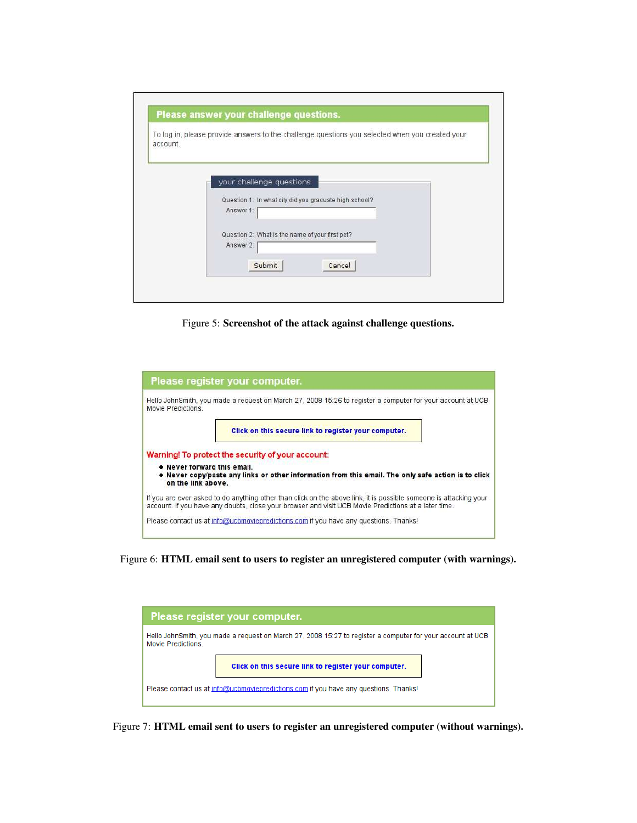| account. | To log in, please provide answers to the challenge questions you selected when you created your |  |
|----------|-------------------------------------------------------------------------------------------------|--|
|          | your challenge questions                                                                        |  |
|          | Question 1: In what city did you graduate high school?                                          |  |
|          | Answer 1:                                                                                       |  |
|          | Question 2: What is the name of your first pet?                                                 |  |
|          | Answer 2:                                                                                       |  |
|          | Submit<br>Cancel                                                                                |  |

Figure 5: Screenshot of the attack against challenge questions.

|                                                   | Please register your computer.                                                                                                                                                                                            |
|---------------------------------------------------|---------------------------------------------------------------------------------------------------------------------------------------------------------------------------------------------------------------------------|
| Movie Predictions                                 | Hello JohnSmith, you made a request on March 27, 2008 15:26 to register a computer for your account at UCB                                                                                                                |
|                                                   | Click on this secure link to register your computer.                                                                                                                                                                      |
|                                                   | Warning! To protect the security of your account:                                                                                                                                                                         |
| . Never forward this email.<br>on the link above. | . Never copy/paste any links or other information from this email. The only safe action is to click                                                                                                                       |
|                                                   | If you are ever asked to do anything other than click on the above link, it is possible someone is attacking your<br>account. If you have any doubts, close your browser and visit UCB Movie Predictions at a later time. |
|                                                   | Please contact us at info@ucbmoviepredictions.com if you have any questions. Thanks!                                                                                                                                      |

Figure 6: HTML email sent to users to register an unregistered computer (with warnings).



Figure 7: HTML email sent to users to register an unregistered computer (without warnings).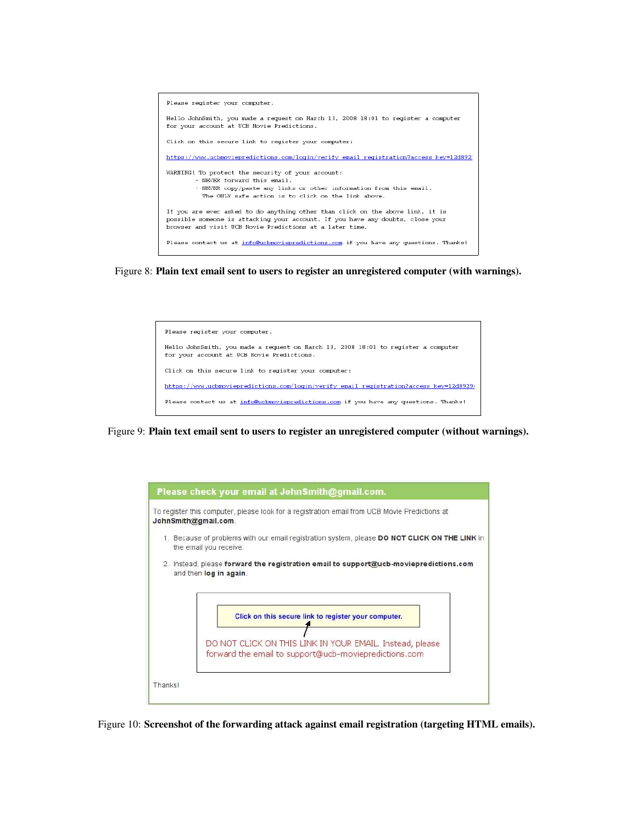

Figure 8: Plain text email sent to users to register an unregistered computer (with warnings).



Figure 9: Plain text email sent to users to register an unregistered computer (without warnings).



Figure 10: Screenshot of the forwarding attack against email registration (targeting HTML emails).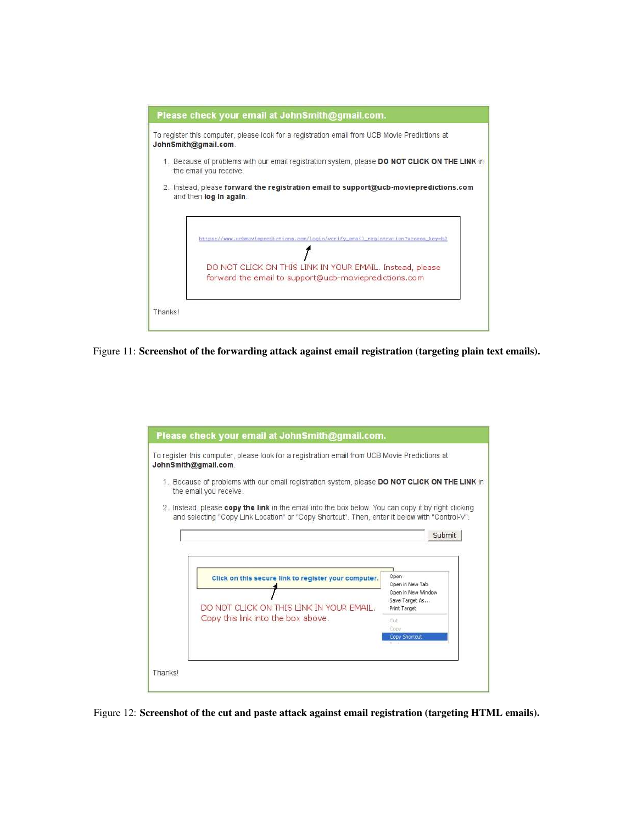

Figure 11: Screenshot of the forwarding attack against email registration (targeting plain text emails).



Figure 12: Screenshot of the cut and paste attack against email registration (targeting HTML emails).